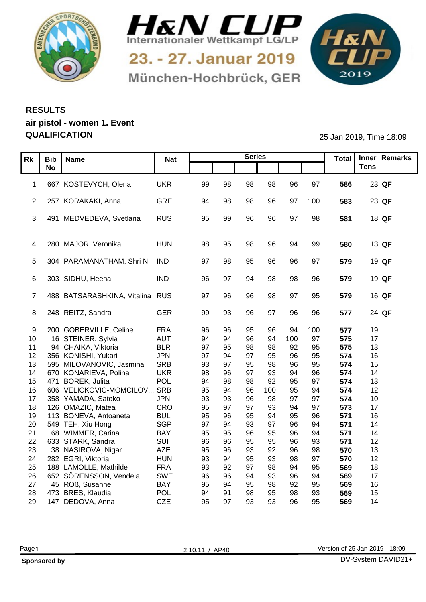



München-Hochbrück, GER

1&N 

## **RESULTS air pistol - women 1. Event QUALIFICATION** 25 Jan 2019, Time 18:09

|    | Rk   Bib   Name      |                                                   | <b>Nat</b> |          |          | <b>Series</b> |           |          |          |            | Total Inner Remarks |
|----|----------------------|---------------------------------------------------|------------|----------|----------|---------------|-----------|----------|----------|------------|---------------------|
|    | <b>No</b>            |                                                   |            |          |          |               |           |          |          |            | <b>Tens</b>         |
|    |                      |                                                   |            |          |          |               |           |          |          |            |                     |
|    |                      | 1 667 KOSTEVYCH, Olena                            | UKR        | 99       | 98       | 98            | 98        | 96       | 97       | 586        | 23 QF               |
|    |                      |                                                   |            |          |          |               |           |          |          |            |                     |
|    |                      | 2 257 KORAKAKI, Anna                              | GRE        | -94      |          | 98            | 96        | 97       | 100      | 583        | 23 QF               |
|    |                      |                                                   |            |          |          |               |           |          |          |            |                     |
|    |                      | 3 491 MEDVEDEVA, Svetlana                         | RUS        | 95       | 99       | 96            | 96        | .97      | 98       | 581        | 18 QF               |
|    |                      |                                                   |            |          |          |               |           |          |          |            |                     |
|    |                      | 4 280 MAJOR, Veronika                             | <b>HUN</b> |          |          |               | 96        |          | -99      | 580        | 13 QF               |
|    |                      |                                                   |            |          |          |               |           |          |          |            |                     |
|    |                      | 5 304 PARAMANATHAM, Shri N IND                    |            | -97      |          |               |           |          |          | 579        | 19 QF               |
|    |                      |                                                   |            |          |          |               |           |          |          |            |                     |
|    | 6 303 SIDHU, Heena   |                                                   | IND        | -96      |          |               | 98        | 98       | 96       | 579        | 19 QF               |
|    |                      |                                                   |            |          |          |               |           |          |          |            |                     |
|    |                      | 488 BATSARASHKINA, Vitalina RUS                   |            | 97       | 96       | 96            | 98        | 97       | 95       | 579        | 16 QF               |
|    |                      |                                                   |            |          |          |               |           |          |          |            |                     |
|    | 8 248 REITZ, Sandra  |                                                   | GER        | 99       | 93       | 96            | 97        | 96       | 96       | 577        | 24 QF               |
|    |                      |                                                   |            |          |          |               |           |          |          |            |                     |
|    |                      | 9 200 GOBERVILLE, Celine                          | <b>FRA</b> | 96       |          |               | 96        |          | 100      | 577        | 19                  |
|    |                      | 10 16 STEINER, Sylvia                             | AUT        | 94       | 94       | 96            | 94        |          | 97       | 575        | 17                  |
| 11 |                      | 94 CHAIKA, Viktoria                               | BLR        | 97       | 95       |               | 98        | 92       | 95       | 575        | 13                  |
|    |                      | 12 356 KONISHI, Yukari                            | <b>JPN</b> | 97       | 94       |               | 95        |          | 95       | 574        | 16                  |
|    |                      | 13 595 MILOVANOVIC, Jasmina                       | SRB        | 93       | 97       | 95            | 98        |          | 95       | 574        | 15                  |
| 14 |                      | 670 KONARIEVA, Polina                             | <b>UKR</b> | 98       |          | 97            | 93        | 94       | 96       | 574        | 14                  |
|    | 15 471 BOREK, Julita |                                                   | POL<br>SRB | 94       | 98<br>94 | 98<br>96      | 92<br>100 | 95       | 97<br>94 | 574<br>574 | 13<br>12            |
| 17 |                      | 16 606 VELICKOVIC-MOMCILOV.<br>358 YAMADA, Satoko | <b>JPN</b> | 95<br>93 | 93       | 96            | 98        | 95<br>97 | 97       | 574        | 10                  |
|    | 18 126 OMAZIC, Matea |                                                   | CRO        | 95       | 97       | 97            | 93        | 94       | 97       | 573        | 17                  |
| 19 |                      | 113 BONEVA, Antoaneta                             | <b>BUL</b> | 95       | 96       |               | 94        |          | 96       | 571        | 16                  |
| 20 |                      | 549 TEH, Xiu Hong                                 | SGP        | 97       | 94       |               | 97        | 96       | 94       | 571        | 14                  |
| 21 |                      | 68 WIMMER, Carina                                 | BAY        | 95       | 95       |               | 95        | 96       | 94       | 571        | 14                  |
|    | 22 633 STARK, Sandra |                                                   | SUI        | 96       | 96       | 95            | 95        | 96       | 93       | 571        | 12                  |
| 23 |                      | 38 NASIROVA, Nigar                                | AZE        | 95       | 96       | 93            | 92        | 96       | 98       | 570        | 13                  |
| 24 | 282 EGRI, Viktoria   |                                                   | <b>HUN</b> | 93       | 94       | 95            | 93        | 98       | 97       | 570        | 12 <sup>°</sup>     |
| 25 |                      | 188 LAMOLLE, Mathilde                             | <b>FRA</b> | 93       | 92       | 97            | 98        | 94       | 95       | 569        | 18                  |
|    |                      | 26 652 SÖRENSSON, Vendela                         | SWE        | 96       | 96       | 94            | 93        |          | 94       | 569        | 17                  |
| 27 | 45 ROß, Susanne      |                                                   | <b>BAY</b> | 95       | 94       | 95            | 98        | 92       | 95       | 569        | 16                  |
| 28 | 473 BRES, Klaudia    |                                                   | <b>POL</b> | 94       |          | 98            | 95        | 98       | 93       | 569        | 15                  |
|    | 29 147 DEDOVA, Anna  |                                                   | CZE        | 95       | 97       | 93            | 93        | 96       | 95       | 569        | 14                  |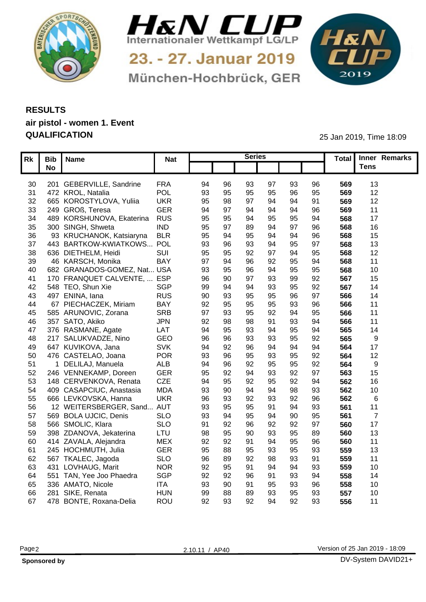



München-Hochbrück, GER

 $H_{K}N$ 

## **RESULTS air pistol - women 1. Event QUALIFICATION** 25 Jan 2019, Time 18:09

|                 | Rk   Bib   Name             | <b>Nat</b> |    |             | <b>Series</b>  |    |                |     | Total Inner Remarks |
|-----------------|-----------------------------|------------|----|-------------|----------------|----|----------------|-----|---------------------|
|                 | <b>No</b>                   |            |    |             |                |    |                |     | <b>Tens</b>         |
|                 |                             |            |    |             |                |    |                |     |                     |
| 30              | 201 GEBERVILLE, Sandrine    | <b>FRA</b> | 94 | 96<br>93    | 97             | 93 | 96             | 569 | 13                  |
| 31              | 472 KROL, Natalia           | POL        | 93 | 95          | 95             | 96 | 95             | 569 | 12 <sup>°</sup>     |
| 32 <sup>2</sup> | 665 KOROSTYLOVA, Yuliia     | <b>UKR</b> | 95 | 98          | $Q_{\Delta}$   | 94 | 91             | 569 | 12                  |
| 33              | 249 GROß, Teresa            | <b>GER</b> | 94 | $\Omega$    | $\Omega$       |    | 96             | 569 | 11                  |
| 34              | 489 KORSHUNOVA, Ekaterina   | <b>RUS</b> | 95 | 95          | 95             |    | 94             | 568 | 17                  |
| 35              | 300 SINGH, Shweta           | <b>IND</b> | 95 |             |                |    | 96             | 568 | 16                  |
| 36              | 93 KRUCHANOK, Katsiaryna    | <b>BLR</b> | 95 |             |                |    | 96             | 568 | 15                  |
| 37              | 443 BARTKOW-KWIATKOWS POL   |            | 93 |             |                |    | Q <sub>7</sub> | 568 | 13                  |
| 38              | 636 DIETHELM, Heidi         | SUI        | 95 | 92          | <b>Q7</b>      | 94 | 95             | 568 | 12                  |
| 39              | 46 KARSCH, Monika           | <b>BAY</b> | 97 | 94          | 92             |    | 94             | 568 | 11                  |
| 40              | 682 GRANADOS-GOMEZ, Nat USA |            | 93 | 95          | 94             | 95 | 95             | 568 | 10                  |
| 41              | 170 FRANQUET CALVENTE,      | <b>ESP</b> | 96 | 90<br>97    | 93             |    | 92             | 567 | 15                  |
| 42              | 548 TEO, Shun Xie           | <b>SGP</b> | 99 | 94<br>$Q_4$ | 93             | 95 | 92             | 567 | 14                  |
| 43              | 497 ENINA, lana             | <b>RUS</b> | 90 | 93<br>95    | 95             | 96 | 97             | 566 | 14                  |
| 44              | 67 PIECHACZEK, Miriam       | <b>BAY</b> | 92 | 95<br>95    | 95             | 93 | 96             | 566 | 11                  |
| 45              | 585 ARUNOVIC, Zorana        | <b>SRB</b> | 97 | 93<br>95    | 92             | 94 | 95             | 566 | 11                  |
| 46              | 357 SATO, Akiko             | <b>JPN</b> | 92 |             | Q <sub>1</sub> |    | $Q\Delta$      | 566 | 11                  |
| 47              | 376 RASMANE, Agate          | LAT        | 94 | 95          |                |    | 94             | 565 | 14                  |
| 48              | 217 SALUKVADZE, Nino        | GEO        | 96 |             | ٩3             |    | 92             | 565 |                     |
| 49              | 647 KUVIKOVA, Jana          | <b>SVK</b> | 94 | 92          |                |    | 94             | 564 | 17                  |
| 50              | 476 CASTELAO, Joana         | <b>POR</b> | 93 | 96<br>95    | 93             | 95 | 92             | 564 | 12 <sup>°</sup>     |
| 51              | 1 DELILAJ, Manuela          | <b>ALB</b> | 94 | 96<br>92    | 95             |    | 92             | 564 | <b>Q</b>            |
| 52              | 246 VENNEKAMP, Doreen       | GER        | 95 | 92<br>94    | 93             | 92 | 97             | 563 | 15                  |
| 53              | 148 CERVENKOVA, Renata      | CZE        | 94 | 95<br>92    | 95             | 92 | $Q\Delta$      | 562 | 16                  |
| 54              | 409 CASAPCIUC, Anastasia    | <b>MDA</b> | 93 | 90<br>94    | 94             |    | 93             | 562 | 10 <sup>°</sup>     |
| 55              | 666 LEVKOVSKA, Hanna        | <b>UKR</b> | 96 | 93<br>92    | 93             |    | 96             | 562 |                     |
| 56              | 12 WEITERSBERGER, Sand AUT  |            | 93 | 95          | ۹              |    | 93             | 561 | 11                  |
| 57              | 569 BOLA UJCIC, Denis       | <b>SLO</b> | 93 |             | 94             | 90 | 95             | 561 | $\overline{7}$      |
|                 | 58 566 SMOLIC, Klara        |            | 91 | 92          | 92             |    | Q <sub>7</sub> |     | 17                  |
|                 |                             | <b>SLO</b> |    |             |                | 92 |                | 560 |                     |
|                 | 59 398 ZDANOVA, Jekaterina  | LTU        | 98 | 95<br>90    | 93             | 95 | 89             | 560 | 13                  |
|                 | 60 414 ZAVALA, Alejandra    | <b>MEX</b> | 92 | 92          | 94             | 95 | 96             | 560 | 11                  |
| 61              | 245 HOCHMUTH, Julia         | <b>GER</b> | 95 |             | 93             |    | 93             | 559 | 13 <sup>°</sup>     |
|                 | 62 567 TKALEC, Jagoda       | <b>SLO</b> | 96 | 89<br>92    | 98             | 93 | 91             | 559 | 11                  |
|                 | 63 431 LOVHAUG, Marit       | <b>NOR</b> | 92 | 95          | QΔ             | 94 | 93             | 559 | 10                  |
| 64              | 551 TAN, Yee Joo Phaedra    | SGP        | 92 | 92          |                | 93 | $Q_4$          | 558 | 14                  |
| 65              | 336 AMATO, Nicole           | <b>ITA</b> | 93 | 90          | 95             |    | 96             | 558 | 10                  |
| 66              | 281 SIKE, Renata            | <b>HUN</b> | 99 |             | 93             |    | 93             | 557 | 10                  |
|                 | 67 478 BONTE, Roxana-Delia  | ROU        | 92 | 93<br>92    | 94             | 92 | 93             | 556 | 11                  |